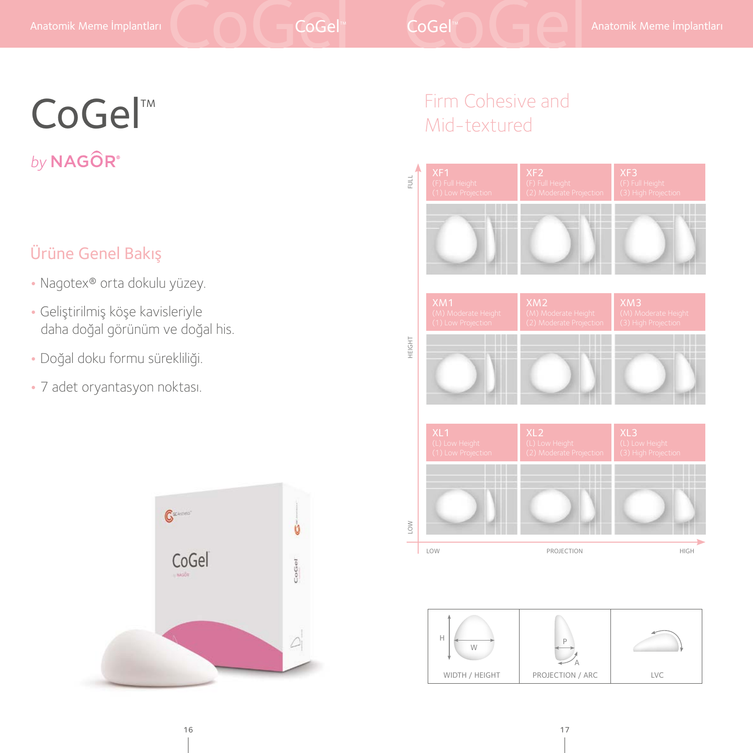# CoGel™ by NAGOR®

## Ürüne Genel Bakış

- Nagotex® orta dokulu yüzey.
- Geliştirilmiş köşe kavisleriyle daha doğal görünüm ve doğal his.
- Doğal doku formu sürekliliği.
- 7 adet oryantasyon noktası.



# Firm Cohesive and Mid-textured



 $W$  P A WIDTH / HEIGHT | PROJECTION / ARC | LVC H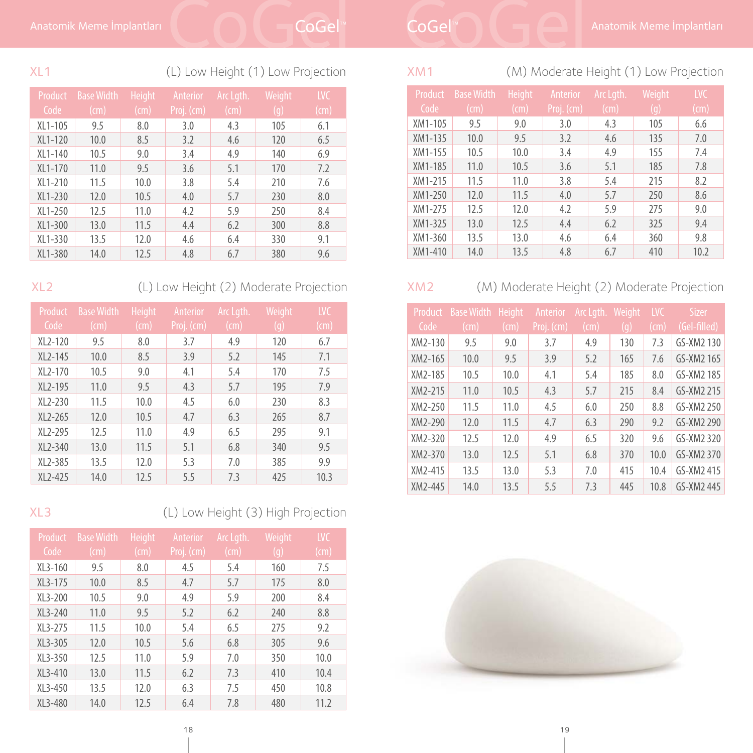### XL1 (L) Low Height (1) Low Projection

| Product   | <b>Base Width</b> | <b>Height</b> | Anterior   | Arc Lgth. | Weight | <b>LVC</b> |
|-----------|-------------------|---------------|------------|-----------|--------|------------|
| Code      | $\text{(cm)}$     | $\text{(cm)}$ | Proj. (cm) | (cm)      | (q)    | (cm)       |
| XL1-105   | 9.5               | 8.0           | 3.0        | 4.3       | 105    | 6.1        |
| XL1-120   | 10.0              | 8.5           | 3.2        | 4.6       | 120    | 6.5        |
| XL1-140   | 10.5              | 9.0           | 3.4        | 4.9       | 140    | 6.9        |
| XL1-170   | 11.0              | 9.5           | 3.6        | 5.1       | 170    | 7.2        |
| XL1-210   | 11.5              | 10.0          | 3.8        | 5.4       | 210    | 7.6        |
| $XL1-230$ | 12.0              | 10.5          | 4.0        | 5.7       | 230    | 8.0        |
| $XL1-250$ | 12.5              | 11.0          | 4.2        | 5.9       | 250    | 8.4        |
| XL1-300   | 13.0              | 11.5          | 4.4        | 6.2       | 300    | 8.8        |
| XL1-330   | 13.5              | 12.0          | 4.6        | 6.4       | 330    | 9.1        |
| XL1-380   | 14.0              | 12.5          | 4.8        | 6.7       | 380    | 9.6        |

XL2 (L) Low Height (2) Moderate Projection

| Product | <b>Base Width</b> | <b>Height</b> | Anterior   | Arc Lgth.       | Weight | <b>LVC</b>   |
|---------|-------------------|---------------|------------|-----------------|--------|--------------|
| Code    | (cm)              | (cm)          | Proj. (cm) | $\mathsf{(cm)}$ | (q)    | $\pmb{(cm)}$ |
| XL2-120 | 9.5               | 8.0           | 3.7        | 4.9             | 120    | 6.7          |
| XL2-145 | 10.0              | 8.5           | 3.9        | 5.2             | 145    | 7.1          |
| XL2-170 | 10.5              | 9.0           | 4.1        | 5.4             | 170    | 7.5          |
| XL2-195 | 11.0              | 9.5           | 4.3        | 5.7             | 195    | 7.9          |
| XL2-230 | 11.5              | 10.0          | 4.5        | 6.0             | 230    | 8.3          |
| XL2-265 | 12.0              | 10.5          | 4.7        | 6.3             | 265    | 8.7          |
| XL2-295 | 12.5              | 11.0          | 4.9        | 6.5             | 295    | 9.1          |
| XL2-340 | 13.0              | 11.5          | 5.1        | 6.8             | 340    | 9.5          |
| XL2-385 | 13.5              | 12.0          | 5.3        | 7.0             | 385    | 9.9          |
| XL2-425 | 14.0              | 12.5          | 5.5        | 7.3             | 425    | 10.3         |

XL3 (L) Low Height (3) High Projection

| Product<br>Code | <b>Base Width</b><br>(cm) | <b>Height</b><br>$\mathsf{l}(\mathsf{cm})$ | Anterior<br>Proj. (cm) | Arc Lgth.<br>(cm) | Weight<br>(q) | <b>LVC</b><br>$\text{(cm)}$ |
|-----------------|---------------------------|--------------------------------------------|------------------------|-------------------|---------------|-----------------------------|
| $XL3-160$       | 9.5                       | 8.0                                        | 4.5                    | 5.4               | 160           | 7.5                         |
| XL3-175         | 10.0                      | 8.5                                        | 4.7                    | 5.7               | 175           | 8.0                         |
| $XL3-200$       | 10.5                      | 9.0                                        | 4.9                    | 5.9               | 200           | 8.4                         |
| $XL3-240$       | 11.0                      | 9.5                                        | 5.2                    | 6.2               | 240           | 8.8                         |
| $XL3-275$       | 11.5                      | 10.0                                       | 5.4                    | 6.5               | 275           | 9.2                         |
| XL3-305         | 12.0                      | 10.5                                       | 5.6                    | 6.8               | 305           | 9.6                         |
| $XL3 - 350$     | 12.5                      | 11.0                                       | 5.9                    | 7.0               | 350           | 10.0                        |
| XL3-410         | 13.0                      | 11.5                                       | 6.2                    | 7.3               | 410           | 10.4                        |
| $XL3-450$       | 13.5                      | 12.0                                       | 6.3                    | 7.5               | 450           | 10.8                        |
| XL3-480         | 14.0                      | 12.5                                       | 6.4                    | 7.8               | 480           | 11.2                        |

XM1 (M) Moderate Height (1) Low Projection

| Product<br>Code | <b>Base Width</b><br>$\text{(cm)}$ | <b>Height</b><br>$\sqrt{(cm)}$ | Anterior<br>Proj. (cm) | Arc Lgth.<br>(cm) | Weight<br>(q) | <b>LVC</b><br>$\text{(cm)}$ |
|-----------------|------------------------------------|--------------------------------|------------------------|-------------------|---------------|-----------------------------|
| XM1-105         | 9.5                                | 9.0                            | 3.0                    | 4.3               | 105           | 6.6                         |
| XM1-135         | 10.0                               | 9.5                            | 3.2                    | 4.6               | 135           | 7.0                         |
| XM1-155         | 10.5                               | 10.0                           | 3.4                    | 4.9               | 155           | 7.4                         |
| XM1-185         | 11.0                               | 10.5                           | 3.6                    | 5.1               | 185           | 7.8                         |
| XM1-215         | 11.5                               | 11.0                           | 3.8                    | 5.4               | 215           | 8.2                         |
| XM1-250         | 12.0                               | 11.5                           | 4.0                    | 5.7               | 250           | 8.6                         |
| XM1-275         | 12.5                               | 12.0                           | 4.2                    | 5.9               | 275           | 9.0                         |
| XM1-325         | 13.0                               | 12.5                           | 4.4                    | 6.2               | 325           | 9.4                         |
| XM1-360         | 13.5                               | 13.0                           | 4.6                    | 6.4               | 360           | 9.8                         |
| XM1-410         | 14.0                               | 13.5                           | 4.8                    | 6.7               | 410           | 10.2                        |

XM2 (M) Moderate Height (2) Moderate Projection

| Product | <b>Base Width</b> | <b>Height</b> | Anterior   | Arc Lgth. Weight |     | <b>LVC</b>                | <b>Sizer</b> |
|---------|-------------------|---------------|------------|------------------|-----|---------------------------|--------------|
| Code    | $\sqrt{(cm)}$     | $\rm (cm)$    | Proj. (cm) | $\text{(cm)}$    | (q) | $\mathsf{l}(\mathsf{cm})$ | (Gel-filled) |
| XM2-130 | 9.5               | 9.0           | 3.7        | 4.9              | 130 | 7.3                       | GS-XM2 130   |
| XM2-165 | 10.0              | 9.5           | 3.9        | 5.2              | 165 | 7.6                       | GS-XM2 165   |
| XM2-185 | 10.5              | 10.0          | 4.1        | 5.4              | 185 | 8.0                       | GS-XM2 185   |
| XM2-215 | 11.0              | 10.5          | 4.3        | 5.7              | 215 | 8.4                       | GS-XM2 215   |
| XM2-250 | 11.5              | 11.0          | 4.5        | 6.0              | 250 | 8.8                       | GS-XM2 250   |
| XM2-290 | 12.0              | 11.5          | 4.7        | 6.3              | 290 | 9.2                       | GS-XM2 290   |
| XM2-320 | 12.5              | 12.0          | 4.9        | 6.5              | 320 | 9.6                       | GS-XM2 320   |
| XM2-370 | 13.0              | 12.5          | 5.1        | 6.8              | 370 | 10.0                      | GS-XM2 370   |
| XM2-415 | 13.5              | 13.0          | 5.3        | 7.0              | 415 | 10.4                      | GS-XM2 415   |
| XM2-445 | 14.0              | 13.5          | 5.5        | 7.3              | 445 | 10.8                      | GS-XM2 445   |